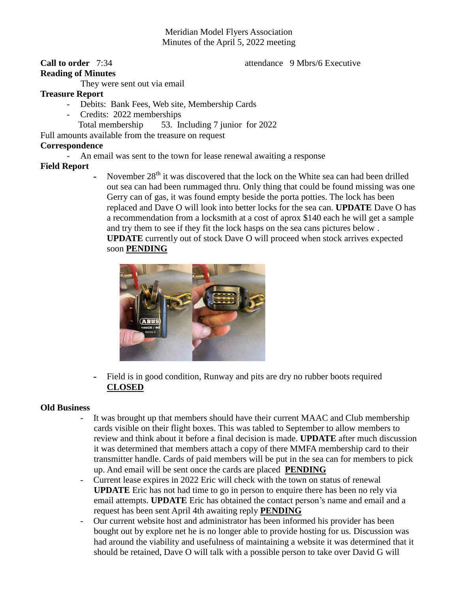# Meridian Model Flyers Association Minutes of the April 5, 2022 meeting

# **Reading of Minutes**

## **Call to order** 7:34 **attendance** 9 Mbrs/6 Executive

They were sent out via email

## **Treasure Report**

- Debits: Bank Fees, Web site, Membership Cards
- Credits: 2022 memberships
	- Total membership 53. Including 7 junior for 2022

Full amounts available from the treasure on request

## **Correspondence**

An email was sent to the town for lease renewal awaiting a response

## **Field Report**

November  $28<sup>th</sup>$  it was discovered that the lock on the White sea can had been drilled out sea can had been rummaged thru. Only thing that could be found missing was one Gerry can of gas, it was found empty beside the porta potties. The lock has been replaced and Dave O will look into better locks for the sea can. **UPDATE** Dave O has a recommendation from a locksmith at a cost of aprox \$140 each he will get a sample and try them to see if they fit the lock hasps on the sea cans pictures below . **UPDATE** currently out of stock Dave O will proceed when stock arrives expected soon **PENDING**



- Field is in good condition, Runway and pits are dry no rubber boots required **CLOSED**

## **Old Business**

- It was brought up that members should have their current MAAC and Club membership cards visible on their flight boxes. This was tabled to September to allow members to review and think about it before a final decision is made. **UPDATE** after much discussion it was determined that members attach a copy of there MMFA membership card to their transmitter handle. Cards of paid members will be put in the sea can for members to pick up. And email will be sent once the cards are placed **PENDING**
- Current lease expires in 2022 Eric will check with the town on status of renewal **UPDATE** Eric has not had time to go in person to enquire there has been no rely via email attempts. **UPDATE** Eric has obtained the contact person's name and email and a request has been sent April 4th awaiting reply **PENDING**
- Our current website host and administrator has been informed his provider has been bought out by explore net he is no longer able to provide hosting for us. Discussion was had around the viability and usefulness of maintaining a website it was determined that it should be retained, Dave O will talk with a possible person to take over David G will